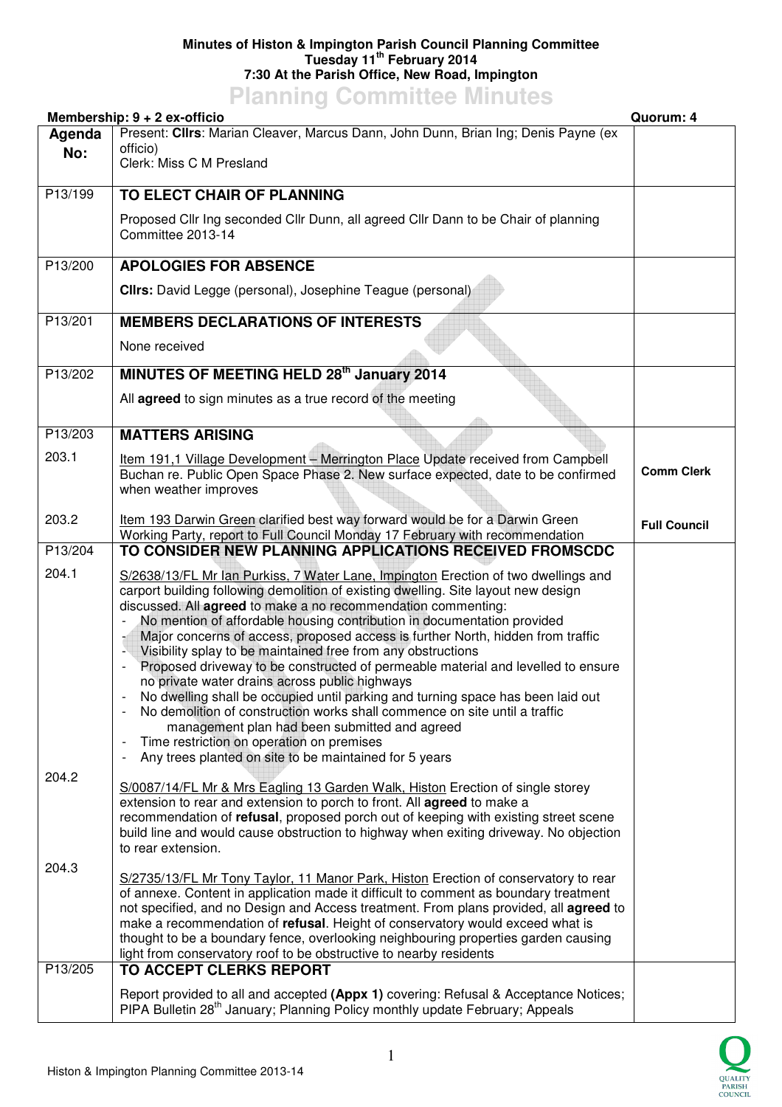## **Minutes of Histon & Impington Parish Council Planning Committee Tuesday 11th February 2014 7:30 At the Parish Office, New Road, Impington**

## **Planning Committee Minutes**

|                  | Membership: $9 + 2$ ex-officio                                                                                                                                                                                                                                                                                                                                                                                                                                                                                                                                                                                                                                                                                                                                                                                                                                                                                                                                | Quorum: 4           |
|------------------|---------------------------------------------------------------------------------------------------------------------------------------------------------------------------------------------------------------------------------------------------------------------------------------------------------------------------------------------------------------------------------------------------------------------------------------------------------------------------------------------------------------------------------------------------------------------------------------------------------------------------------------------------------------------------------------------------------------------------------------------------------------------------------------------------------------------------------------------------------------------------------------------------------------------------------------------------------------|---------------------|
| Agenda<br>No:    | Present: Cllrs: Marian Cleaver, Marcus Dann, John Dunn, Brian Ing; Denis Payne (ex<br>officio)<br>Clerk: Miss C M Presland                                                                                                                                                                                                                                                                                                                                                                                                                                                                                                                                                                                                                                                                                                                                                                                                                                    |                     |
|                  |                                                                                                                                                                                                                                                                                                                                                                                                                                                                                                                                                                                                                                                                                                                                                                                                                                                                                                                                                               |                     |
| P13/199          | TO ELECT CHAIR OF PLANNING                                                                                                                                                                                                                                                                                                                                                                                                                                                                                                                                                                                                                                                                                                                                                                                                                                                                                                                                    |                     |
|                  | Proposed Cllr Ing seconded Cllr Dunn, all agreed Cllr Dann to be Chair of planning<br>Committee 2013-14                                                                                                                                                                                                                                                                                                                                                                                                                                                                                                                                                                                                                                                                                                                                                                                                                                                       |                     |
| P13/200          | <b>APOLOGIES FOR ABSENCE</b>                                                                                                                                                                                                                                                                                                                                                                                                                                                                                                                                                                                                                                                                                                                                                                                                                                                                                                                                  |                     |
|                  | <b>Clirs:</b> David Legge (personal), Josephine Teague (personal)                                                                                                                                                                                                                                                                                                                                                                                                                                                                                                                                                                                                                                                                                                                                                                                                                                                                                             |                     |
| P13/201          | <b>MEMBERS DECLARATIONS OF INTERESTS</b>                                                                                                                                                                                                                                                                                                                                                                                                                                                                                                                                                                                                                                                                                                                                                                                                                                                                                                                      |                     |
|                  | None received                                                                                                                                                                                                                                                                                                                                                                                                                                                                                                                                                                                                                                                                                                                                                                                                                                                                                                                                                 |                     |
| P13/202          | MINUTES OF MEETING HELD 28th January 2014                                                                                                                                                                                                                                                                                                                                                                                                                                                                                                                                                                                                                                                                                                                                                                                                                                                                                                                     |                     |
|                  | All agreed to sign minutes as a true record of the meeting                                                                                                                                                                                                                                                                                                                                                                                                                                                                                                                                                                                                                                                                                                                                                                                                                                                                                                    |                     |
| P13/203          | <b>MATTERS ARISING</b>                                                                                                                                                                                                                                                                                                                                                                                                                                                                                                                                                                                                                                                                                                                                                                                                                                                                                                                                        |                     |
| 203.1            | Item 191,1 Village Development - Merrington Place Update received from Campbell<br>Buchan re. Public Open Space Phase 2. New surface expected, date to be confirmed<br>when weather improves                                                                                                                                                                                                                                                                                                                                                                                                                                                                                                                                                                                                                                                                                                                                                                  | <b>Comm Clerk</b>   |
| 203.2            | Item 193 Darwin Green clarified best way forward would be for a Darwin Green<br>Working Party, report to Full Council Monday 17 February with recommendation                                                                                                                                                                                                                                                                                                                                                                                                                                                                                                                                                                                                                                                                                                                                                                                                  | <b>Full Council</b> |
| P13/204          | TO CONSIDER NEW PLANNING APPLICATIONS RECEIVED FROMSCDC                                                                                                                                                                                                                                                                                                                                                                                                                                                                                                                                                                                                                                                                                                                                                                                                                                                                                                       |                     |
| 204.1            | S/2638/13/FL Mr lan Purkiss, 7 Water Lane, Impington Erection of two dwellings and<br>carport building following demolition of existing dwelling. Site layout new design<br>discussed. All agreed to make a no recommendation commenting:<br>No mention of affordable housing contribution in documentation provided<br>Major concerns of access, proposed access is further North, hidden from traffic<br>Visibility splay to be maintained free from any obstructions<br>Proposed driveway to be constructed of permeable material and levelled to ensure<br>no private water drains across public highways<br>No dwelling shall be occupied until parking and turning space has been laid out<br>No demolition of construction works shall commence on site until a traffic<br>management plan had been submitted and agreed<br>Time restriction on operation on premises<br>-<br>Any trees planted on site to be maintained for 5 years<br>$\overline{a}$ |                     |
| 204.2            | S/0087/14/FL Mr & Mrs Eagling 13 Garden Walk, Histon Erection of single storey<br>extension to rear and extension to porch to front. All <b>agreed</b> to make a<br>recommendation of refusal, proposed porch out of keeping with existing street scene<br>build line and would cause obstruction to highway when exiting driveway. No objection<br>to rear extension.                                                                                                                                                                                                                                                                                                                                                                                                                                                                                                                                                                                        |                     |
| 204.3<br>P13/205 | S/2735/13/FL Mr Tony Taylor, 11 Manor Park, Histon Erection of conservatory to rear<br>of annexe. Content in application made it difficult to comment as boundary treatment<br>not specified, and no Design and Access treatment. From plans provided, all agreed to<br>make a recommendation of refusal. Height of conservatory would exceed what is<br>thought to be a boundary fence, overlooking neighbouring properties garden causing<br>light from conservatory roof to be obstructive to nearby residents<br>TO ACCEPT CLERKS REPORT                                                                                                                                                                                                                                                                                                                                                                                                                  |                     |
|                  | Report provided to all and accepted (Appx 1) covering: Refusal & Acceptance Notices;                                                                                                                                                                                                                                                                                                                                                                                                                                                                                                                                                                                                                                                                                                                                                                                                                                                                          |                     |
|                  | PIPA Bulletin 28 <sup>th</sup> January; Planning Policy monthly update February; Appeals                                                                                                                                                                                                                                                                                                                                                                                                                                                                                                                                                                                                                                                                                                                                                                                                                                                                      |                     |